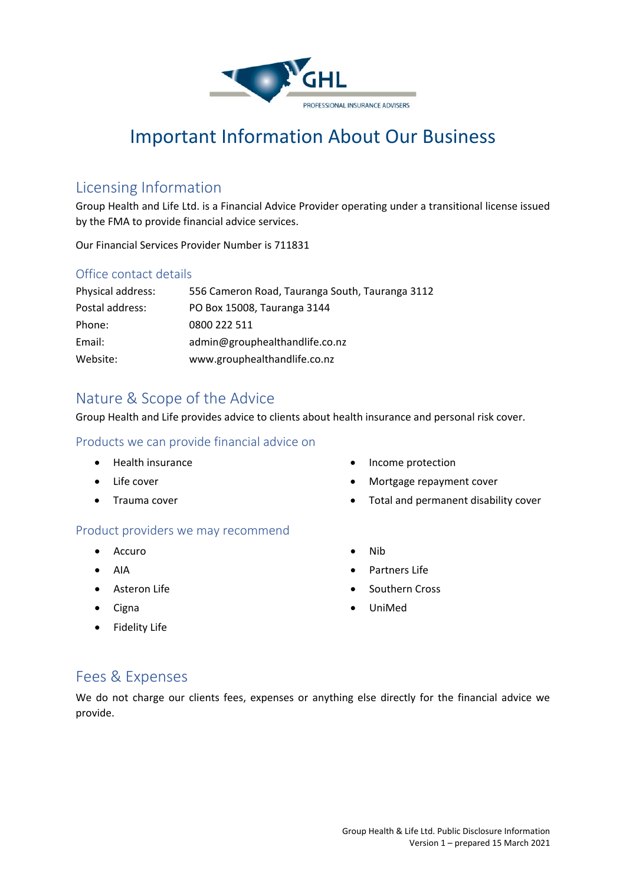

# Important Information About Our Business

#### Licensing Information

Group Health and Life Ltd. is a Financial Advice Provider operating under a transitional license issued by the FMA to provide financial advice services.

Our Financial Services Provider Number is 711831

#### Office contact details

| Physical address: | 556 Cameron Road, Tauranga South, Tauranga 3112 |
|-------------------|-------------------------------------------------|
| Postal address:   | PO Box 15008, Tauranga 3144                     |
| Phone:            | 0800 222 511                                    |
| Email:            | admin@grouphealthandlife.co.nz                  |
| Website:          | www.grouphealthandlife.co.nz                    |

### Nature & Scope of the Advice

Group Health and Life provides advice to clients about health insurance and personal risk cover.

#### Products we can provide financial advice on

- Health insurance
- Life cover
- Trauma cover

#### Product providers we may recommend

- Accuro
- AIA
- Asteron Life
- Cigna
- Fidelity Life
- Income protection
- Mortgage repayment cover
- Total and permanent disability cover
- Nib
- Partners Life
- Southern Cross
- UniMed

#### Fees & Expenses

We do not charge our clients fees, expenses or anything else directly for the financial advice we provide.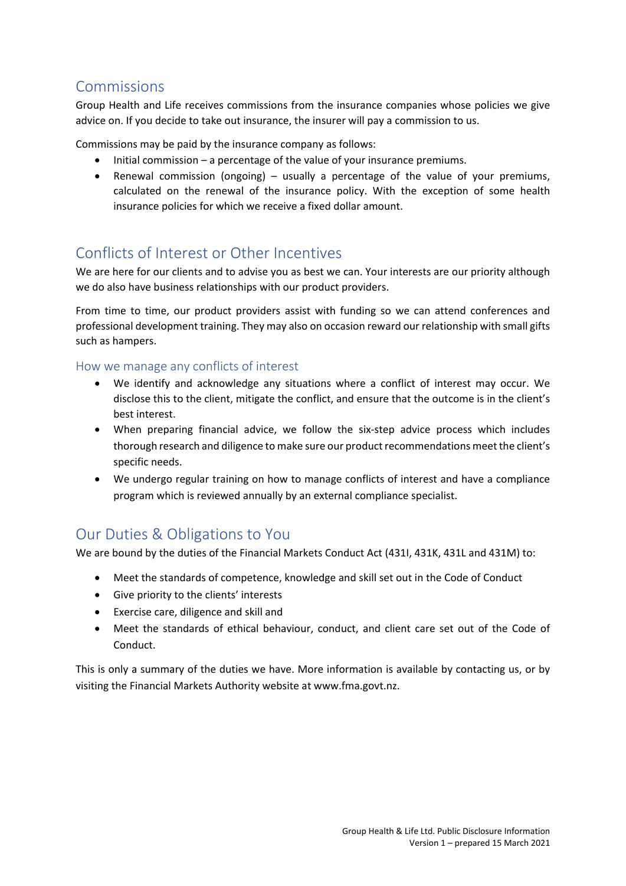## Commissions

Group Health and Life receives commissions from the insurance companies whose policies we give advice on. If you decide to take out insurance, the insurer will pay a commission to us.

Commissions may be paid by the insurance company as follows:

- Initial commission a percentage of the value of your insurance premiums.
- Renewal commission (ongoing) usually a percentage of the value of your premiums, calculated on the renewal of the insurance policy. With the exception of some health insurance policies for which we receive a fixed dollar amount.

## Conflicts of Interest or Other Incentives

We are here for our clients and to advise you as best we can. Your interests are our priority although we do also have business relationships with our product providers.

From time to time, our product providers assist with funding so we can attend conferences and professional development training. They may also on occasion reward our relationship with small gifts such as hampers.

#### How we manage any conflicts of interest

- We identify and acknowledge any situations where a conflict of interest may occur. We disclose this to the client, mitigate the conflict, and ensure that the outcome is in the client's best interest.
- When preparing financial advice, we follow the six-step advice process which includes thorough research and diligence to make sure our product recommendations meet the client's specific needs.
- We undergo regular training on how to manage conflicts of interest and have a compliance program which is reviewed annually by an external compliance specialist.

## Our Duties & Obligations to You

We are bound by the duties of the Financial Markets Conduct Act (431I, 431K, 431L and 431M) to:

- Meet the standards of competence, knowledge and skill set out in the Code of Conduct
- Give priority to the clients' interests
- Exercise care, diligence and skill and
- Meet the standards of ethical behaviour, conduct, and client care set out of the Code of Conduct.

This is only a summary of the duties we have. More information is available by contacting us, or by visiting the Financial Markets Authority website at www.fma.govt.nz.